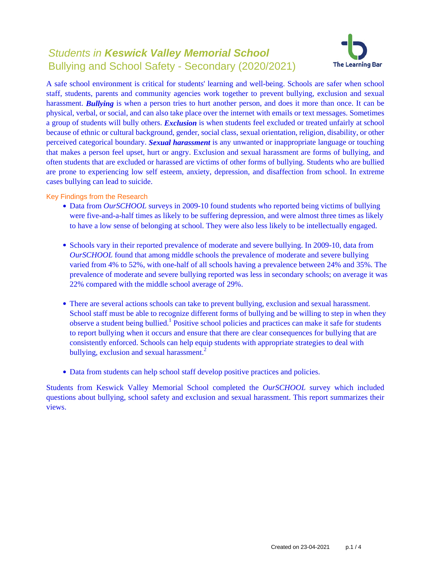# Students in **Keswick Valley Memorial School** Bullying and School Safety - Secondary (2020/2021)



A safe school environment is critical for students' learning and well-being. Schools are safer when school staff, students, parents and community agencies work together to prevent bullying, exclusion and sexual harassment. *Bullying* is when a person tries to hurt another person, and does it more than once. It can be physical, verbal, or social, and can also take place over the internet with emails or text messages. Sometimes a group of students will bully others. *Exclusion* is when students feel excluded or treated unfairly at school because of ethnic or cultural background, gender, social class, sexual orientation, religion, disability, or other perceived categorical boundary. *Sexual harassment* is any unwanted or inappropriate language or touching that makes a person feel upset, hurt or angry. Exclusion and sexual harassment are forms of bullying, and often students that are excluded or harassed are victims of other forms of bullying. Students who are bullied are prone to experiencing low self esteem, anxiety, depression, and disaffection from school. In extreme cases bullying can lead to suicide.

Key Findings from the Research

- Data from *OurSCHOOL* surveys in 2009-10 found students who reported being victims of bullying were five-and-a-half times as likely to be suffering depression, and were almost three times as likely to have a low sense of belonging at school. They were also less likely to be intellectually engaged.
- Schools vary in their reported prevalence of moderate and severe bullying. In 2009-10, data from *OurSCHOOL* found that among middle schools the prevalence of moderate and severe bullying varied from 4% to 52%, with one-half of all schools having a prevalence between 24% and 35%. The prevalence of moderate and severe bullying reported was less in secondary schools; on average it was 22% compared with the middle school average of 29%.
- There are several actions schools can take to prevent bullying, exclusion and sexual harassment. School staff must be able to recognize different forms of bullying and be willing to step in when they observe a student being bullied.<sup>1</sup> Positive school policies and practices can make it safe for students to report bullying when it occurs and ensure that there are clear consequences for bullying that are consistently enforced. Schools can help equip students with appropriate strategies to deal with bullying, exclusion and sexual harassment.<sup>2</sup>
- Data from students can help school staff develop positive practices and policies.

Students from Keswick Valley Memorial School completed the *OurSCHOOL* survey which included questions about bullying, school safety and exclusion and sexual harassment. This report summarizes their views.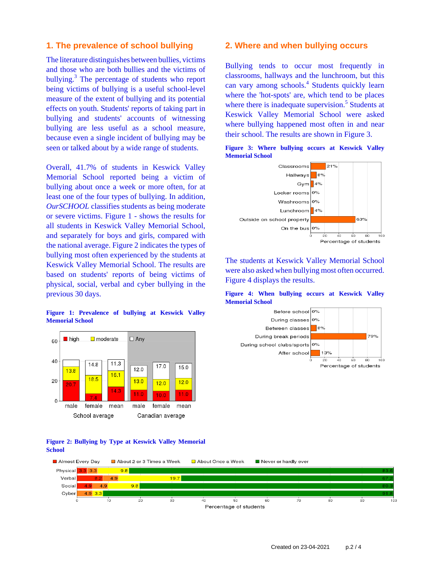### **1. The prevalence of school bullying**

The literature distinguishes between bullies, victims and those who are both bullies and the victims of bullying.<sup>3</sup> The percentage of students who report being victims of bullying is a useful school-level measure of the extent of bullying and its potential effects on youth. Students' reports of taking part in bullying and students' accounts of witnessing bullying are less useful as a school measure, because even a single incident of bullying may be seen or talked about by a wide range of students.

Overall, 41.7% of students in Keswick Valley Memorial School reported being a victim of bullying about once a week or more often, for at least one of the four types of bullying. In addition, *OurSCHOOL* classifies students as being moderate or severe victims. Figure 1 - shows the results for all students in Keswick Valley Memorial School, and separately for boys and girls, compared with the national average. Figure 2 indicates the types of bullying most often experienced by the students at Keswick Valley Memorial School. The results are based on students' reports of being victims of physical, social, verbal and cyber bullying in the previous 30 days.

#### **Figure 1: Prevalence of bullying at Keswick Valley Memorial School**



#### **Figure 2: Bullying by Type at Keswick Valley Memorial School**

### **2. Where and when bullying occurs**

Bullying tends to occur most frequently in classrooms, hallways and the lunchroom, but this can vary among schools.<sup>4</sup> Students quickly learn where the 'hot-spots' are, which tend to be places where there is inadequate supervision.<sup>5</sup> Students at Keswick Valley Memorial School were asked where bullying happened most often in and near their school. The results are shown in Figure 3.





The students at Keswick Valley Memorial School were also asked when bullying most often occurred. Figure 4 displays the results.





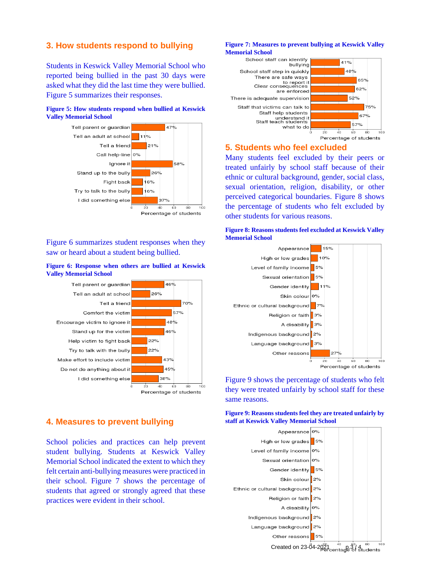### **3. How students respond to bullying**

Students in Keswick Valley Memorial School who reported being bullied in the past 30 days were asked what they did the last time they were bullied. Figure 5 summarizes their responses.

#### **Figure 5: How students respond when bullied at Keswick Valley Memorial School**



Figure 6 summarizes student responses when they saw or heard about a student being bullied.

#### **Figure 6: Response when others are bullied at Keswick Valley Memorial School**



# **4. Measures to prevent bullying**

School policies and practices can help prevent student bullying. Students at Keswick Valley Memorial School indicated the extent to which they felt certain anti-bullying measures were practiced in their school. Figure 7 shows the percentage of students that agreed or strongly agreed that these practices were evident in their school.

#### **Figure 7: Measures to prevent bullying at Keswick Valley Memorial School**



### **5. Students who feel excluded**

Many students feel excluded by their peers or treated unfairly by school staff because of their ethnic or cultural background, gender, social class, sexual orientation, religion, disability, or other perceived categorical boundaries. Figure 8 shows the percentage of students who felt excluded by other students for various reasons.





Figure 9 shows the percentage of students who felt they were treated unfairly by school staff for these same reasons.

**Figure 9: Reasons students feel they are treated unfairly by staff at Keswick Valley Memorial School**